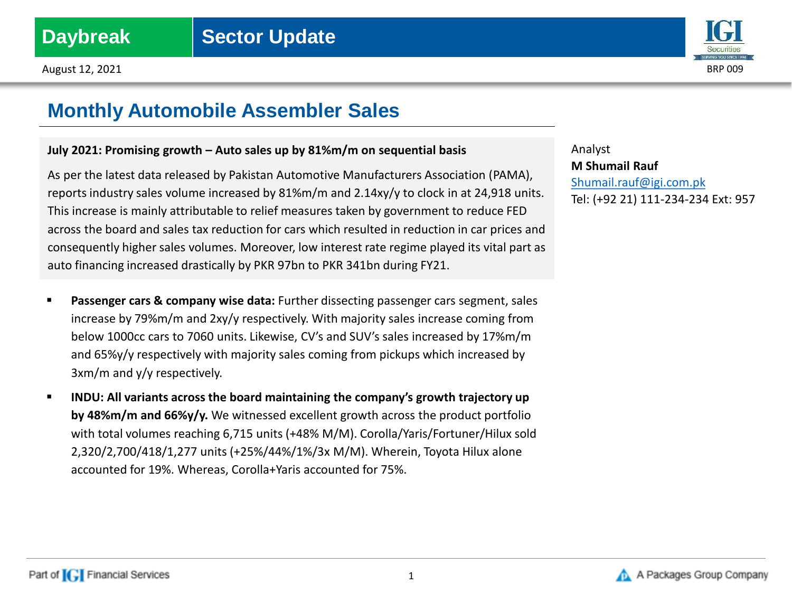

# **Monthly Automobile Assembler Sales**

## **July 2021: Promising growth – Auto sales up by 81%m/m on sequential basis**

As per the latest data released by Pakistan Automotive Manufacturers Association (PAMA), reports industry sales volume increased by 81%m/m and 2.14xy/y to clock in at 24,918 units. This increase is mainly attributable to relief measures taken by government to reduce FED across the board and sales tax reduction for cars which resulted in reduction in car prices and consequently higher sales volumes. Moreover, low interest rate regime played its vital part as auto financing increased drastically by PKR 97bn to PKR 341bn during FY21.

- **Passenger cars & company wise data:** Further dissecting passenger cars segment, sales increase by 79%m/m and 2xy/y respectively. With majority sales increase coming from below 1000cc cars to 7060 units. Likewise, CV's and SUV's sales increased by 17%m/m and 65%y/y respectively with majority sales coming from pickups which increased by 3xm/m and y/y respectively.
- **INDU: All variants across the board maintaining the company's growth trajectory up by 48%m/m and 66%y/y.** We witnessed excellent growth across the product portfolio with total volumes reaching 6,715 units (+48% M/M). Corolla/Yaris/Fortuner/Hilux sold 2,320/2,700/418/1,277 units (+25%/44%/1%/3x M/M). Wherein, Toyota Hilux alone accounted for 19%. Whereas, Corolla+Yaris accounted for 75%.

Analyst **M Shumail Rauf** [Shumail.rauf@igi.com.pk](mailto:Shumail.rauf@igi.com.pk) Tel: (+92 21) 111-234-234 Ext: 957

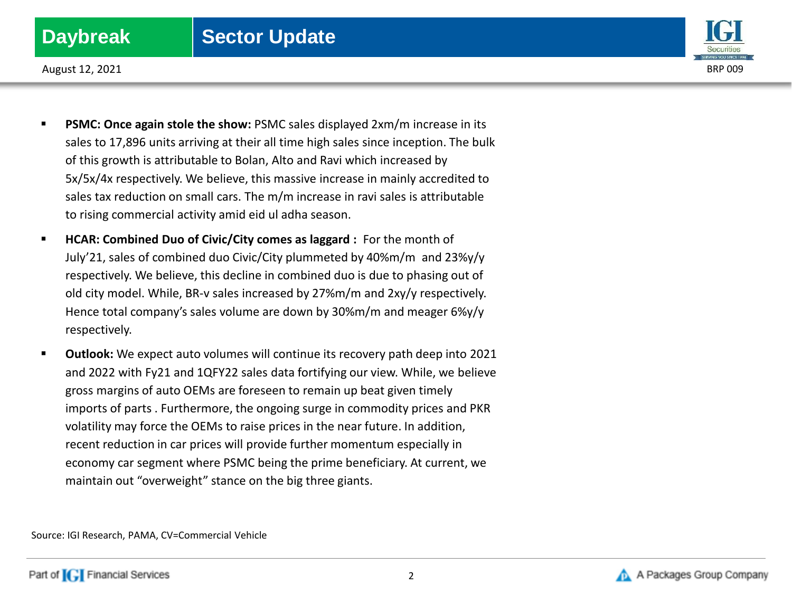## **Daybreak** | Sector Update



August 12, 2021 BRP 009

- **PSMC: Once again stole the show:** PSMC sales displayed 2xm/m increase in its sales to 17,896 units arriving at their all time high sales since inception. The bulk of this growth is attributable to Bolan, Alto and Ravi which increased by 5x/5x/4x respectively. We believe, this massive increase in mainly accredited to sales tax reduction on small cars. The m/m increase in ravi sales is attributable to rising commercial activity amid eid ul adha season.
- **HCAR: Combined Duo of Civic/City comes as laggard :** For the month of July'21, sales of combined duo Civic/City plummeted by 40%m/m and 23%y/y respectively. We believe, this decline in combined duo is due to phasing out of old city model. While, BR-v sales increased by 27%m/m and 2xy/y respectively. Hence total company's sales volume are down by 30%m/m and meager 6%y/y respectively.
- **Outlook:** We expect auto volumes will continue its recovery path deep into 2021 and 2022 with Fy21 and 1QFY22 sales data fortifying our view. While, we believe gross margins of auto OEMs are foreseen to remain up beat given timely imports of parts . Furthermore, the ongoing surge in commodity prices and PKR volatility may force the OEMs to raise prices in the near future. In addition, recent reduction in car prices will provide further momentum especially in economy car segment where PSMC being the prime beneficiary. At current, we maintain out "overweight" stance on the big three giants.

Source: IGI Research, PAMA, CV=Commercial Vehicle

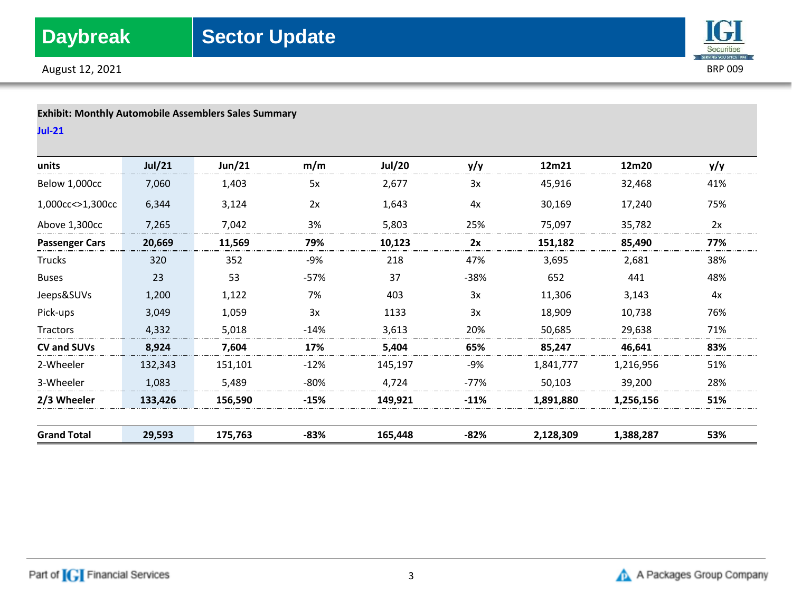August 12, 2021 BRP 009



## **Exhibit: Monthly Automobile Assemblers Sales Summary**

**Jul-21**

| units                 | Jul/21  | Jun/21  | m/m    | <b>Jul/20</b> | y/y    | 12m21     | 12m20     | y/y |
|-----------------------|---------|---------|--------|---------------|--------|-----------|-----------|-----|
| Below 1,000cc         | 7,060   | 1,403   | 5x     | 2,677         | 3x     | 45,916    | 32,468    | 41% |
| 1,000cc<>1,300cc      | 6,344   | 3,124   | 2x     | 1,643         | 4x     | 30,169    | 17,240    | 75% |
| Above 1,300cc         | 7,265   | 7,042   | 3%     | 5,803         | 25%    | 75,097    | 35,782    | 2x  |
| <b>Passenger Cars</b> | 20,669  | 11,569  | 79%    | 10,123        | 2x     | 151,182   | 85,490    | 77% |
| <b>Trucks</b>         | 320     | 352     | -9%    | 218           | 47%    | 3,695     | 2,681     | 38% |
| <b>Buses</b>          | 23      | 53      | $-57%$ | 37            | $-38%$ | 652       | 441       | 48% |
| Jeeps&SUVs            | 1,200   | 1,122   | 7%     | 403           | 3x     | 11,306    | 3,143     | 4x  |
| Pick-ups              | 3,049   | 1,059   | 3x     | 1133          | 3x     | 18,909    | 10,738    | 76% |
| Tractors              | 4,332   | 5,018   | $-14%$ | 3,613         | 20%    | 50,685    | 29,638    | 71% |
| CV and SUVs           | 8,924   | 7,604   | 17%    | 5,404         | 65%    | 85,247    | 46,641    | 83% |
| 2-Wheeler             | 132,343 | 151,101 | $-12%$ | 145,197       | -9%    | 1,841,777 | 1,216,956 | 51% |
| 3-Wheeler             | 1,083   | 5,489   | $-80%$ | 4,724         | $-77%$ | 50,103    | 39,200    | 28% |
| 2/3 Wheeler           | 133,426 | 156,590 | $-15%$ | 149,921       | $-11%$ | 1,891,880 | 1,256,156 | 51% |
| <b>Grand Total</b>    | 29,593  | 175,763 | -83%   | 165,448       | -82%   | 2,128,309 | 1,388,287 | 53% |

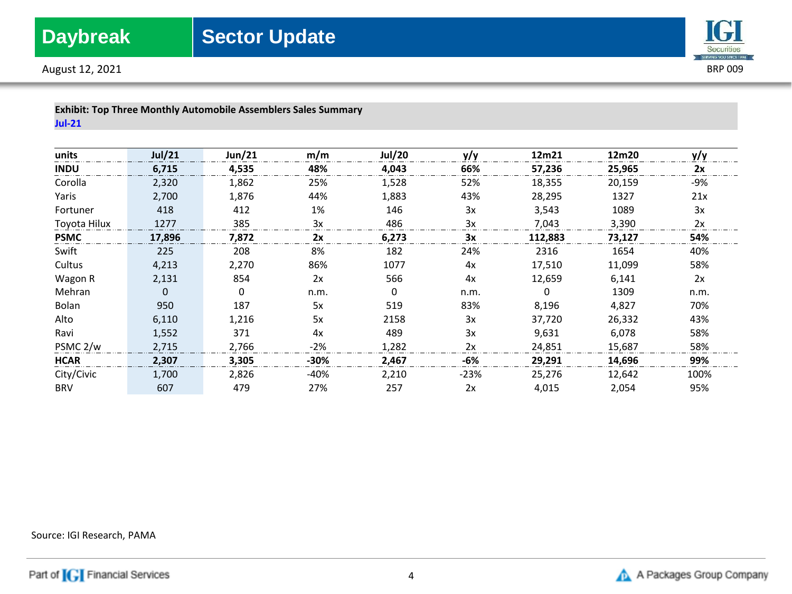



| <b>Exhibit: Top Three Monthly Automobile Assemblers Sales Summary</b> |  |
|-----------------------------------------------------------------------|--|
| <b>Jul-21</b>                                                         |  |

| units               | <b>Jul/21</b> | Jun/21 | m/m    | <b>Jul/20</b> | y/y  | 12m21   | 12m20  | y/y  |
|---------------------|---------------|--------|--------|---------------|------|---------|--------|------|
| <b>INDU</b>         | 6,715         | 4,535  | 48%    | 4,043         | 66%  | 57,236  | 25,965 | 2x   |
| Corolla             | 2,320         | 1,862  | 25%    | 1,528         | 52%  | 18,355  | 20,159 | -9%  |
| Yaris               | 2,700         | 1,876  | 44%    | 1,883         | 43%  | 28,295  | 1327   | 21x  |
| Fortuner            | 418           | 412    | 1%     | 146           | 3x   | 3,543   | 1089   | 3x   |
| Toyota Hilux        | 1277          | 385    | 3x     | 486           | 3x   | 7,043   | 3,390  | 2x   |
| <b>PSMC</b>         | 17,896        | 7,872  | 2x     | 6,273         | 3x   | 112,883 | 73,127 | 54%  |
| Swift               | 225           | 208    | 8%     | 182           | 24%  | 2316    | 1654   | 40%  |
| Cultus              | 4,213         | 2,270  | 86%    | 1077          | 4x   | 17,510  | 11,099 | 58%  |
| Wagon R             | 2,131         | 854    | 2x     | 566           | 4x   | 12,659  | 6,141  | 2x   |
| Mehran              | 0             | 0      | n.m.   | 0             | n.m. | 0       | 1309   | n.m. |
| Bolan               | 950           | 187    | 5x     | 519           | 83%  | 8,196   | 4,827  | 70%  |
| Alto                | 6,110         | 1,216  | 5x     | 2158          | 3x   | 37,720  | 26,332 | 43%  |
| Ravi                | 1,552         | 371    | 4x     | 489           | 3x   | 9,631   | 6,078  | 58%  |
| PSMC <sub>2/w</sub> | 2,715         | 2,766  | $-2%$  | 1,282         | 2x   | 24,851  | 15,687 | 58%  |
| <b>HCAR</b>         | 2,307         | 3,305  | $-30%$ | 2,467         | -6%  | 29,291  | 14,696 | 99%  |
| City/Civic          | 1,700         | 2,826  | -40%   | 2,210         | -23% | 25,276  | 12,642 | 100% |
| <b>BRV</b>          | 607           | 479    | 27%    | 257           | 2x   | 4,015   | 2,054  | 95%  |

Source: IGI Research, PAMA

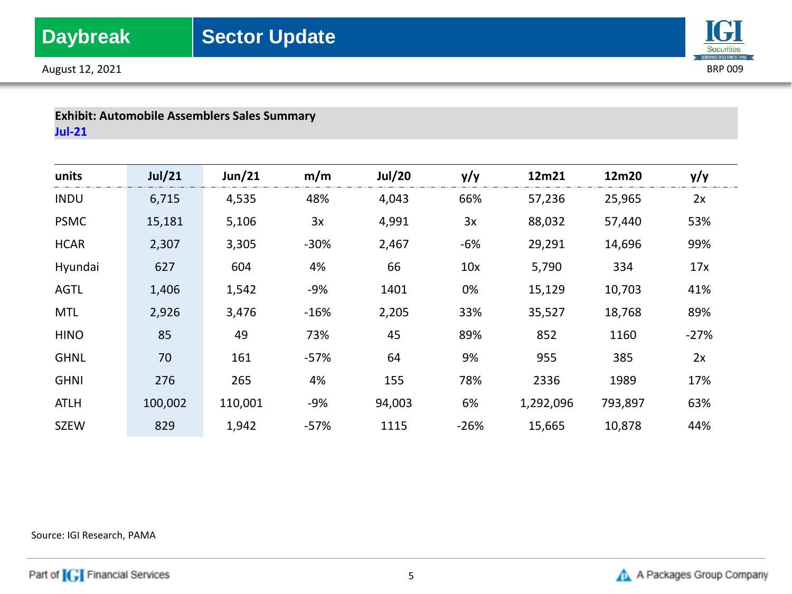



## **Exhibit: Automobile Assemblers Sales Summary Jul-21**

| units       | Jul/21  | Jun/21  | m/m    | <b>Jul/20</b> | y/y    | 12m21     | 12m20   | y/y    |
|-------------|---------|---------|--------|---------------|--------|-----------|---------|--------|
| <b>INDU</b> | 6,715   | 4,535   | 48%    | 4,043         | 66%    | 57,236    | 25,965  | 2x     |
| <b>PSMC</b> | 15,181  | 5,106   | 3x     | 4,991         | 3x     | 88,032    | 57,440  | 53%    |
| <b>HCAR</b> | 2,307   | 3,305   | $-30%$ | 2,467         | $-6%$  | 29,291    | 14,696  | 99%    |
| Hyundai     | 627     | 604     | 4%     | 66            | 10x    | 5,790     | 334     | 17x    |
| <b>AGTL</b> | 1,406   | 1,542   | $-9%$  | 1401          | 0%     | 15,129    | 10,703  | 41%    |
| <b>MTL</b>  | 2,926   | 3,476   | $-16%$ | 2,205         | 33%    | 35,527    | 18,768  | 89%    |
| <b>HINO</b> | 85      | 49      | 73%    | 45            | 89%    | 852       | 1160    | $-27%$ |
| <b>GHNL</b> | 70      | 161     | $-57%$ | 64            | 9%     | 955       | 385     | 2x     |
| <b>GHNI</b> | 276     | 265     | 4%     | 155           | 78%    | 2336      | 1989    | 17%    |
| <b>ATLH</b> | 100,002 | 110,001 | $-9%$  | 94,003        | 6%     | 1,292,096 | 793,897 | 63%    |
| <b>SZEW</b> | 829     | 1,942   | $-57%$ | 1115          | $-26%$ | 15,665    | 10,878  | 44%    |

Source: IGI Research, PAMA

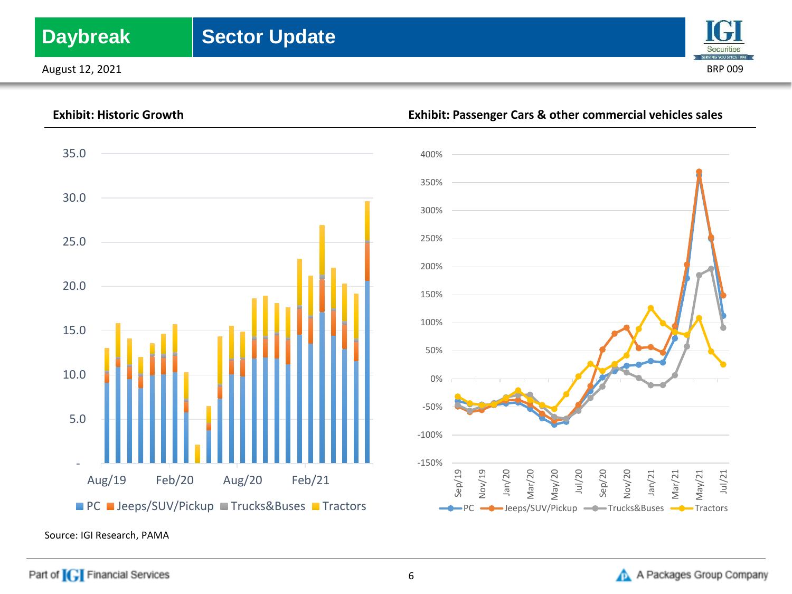# **Daybreak** Sector Update

August 12, 2021 BRP 009







Source: IGI Research, PAMA

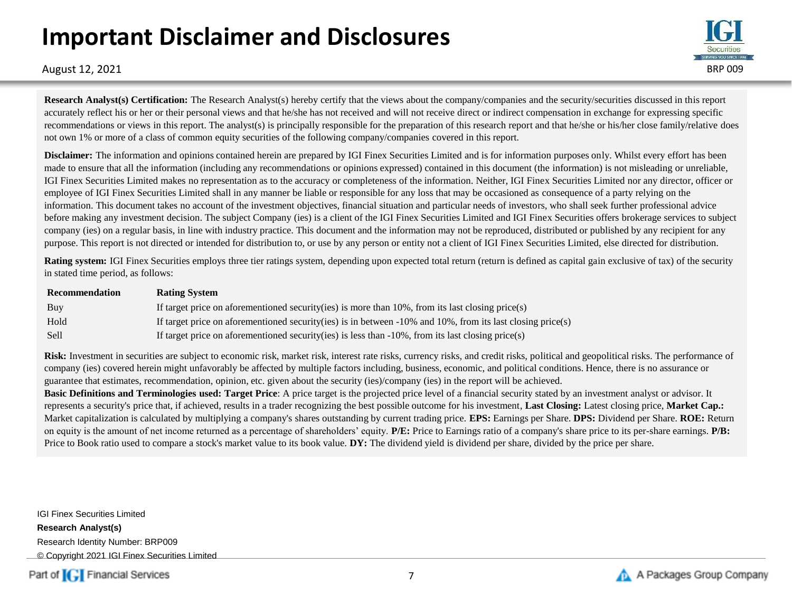# **Important Disclaimer and Disclosures**



August 12, 2021 BRP 009

**Research Analyst(s) Certification:** The Research Analyst(s) hereby certify that the views about the company/companies and the security/securities discussed in this report accurately reflect his or her or their personal views and that he/she has not received and will not receive direct or indirect compensation in exchange for expressing specific recommendations or views in this report. The analyst(s) is principally responsible for the preparation of this research report and that he/she or his/her close family/relative does not own 1% or more of a class of common equity securities of the following company/companies covered in this report.

**Disclaimer:** The information and opinions contained herein are prepared by IGI Finex Securities Limited and is for information purposes only. Whilst every effort has been made to ensure that all the information (including any recommendations or opinions expressed) contained in this document (the information) is not misleading or unreliable, IGI Finex Securities Limited makes no representation as to the accuracy or completeness of the information. Neither, IGI Finex Securities Limited nor any director, officer or employee of IGI Finex Securities Limited shall in any manner be liable or responsible for any loss that may be occasioned as consequence of a party relying on the information. This document takes no account of the investment objectives, financial situation and particular needs of investors, who shall seek further professional advice before making any investment decision. The subject Company (ies) is a client of the IGI Finex Securities Limited and IGI Finex Securities offers brokerage services to subject company (ies) on a regular basis, in line with industry practice. This document and the information may not be reproduced, distributed or published by any recipient for any purpose. This report is not directed or intended for distribution to, or use by any person or entity not a client of IGI Finex Securities Limited, else directed for distribution.

**Rating system:** IGI Finex Securities employs three tier ratings system, depending upon expected total return (return is defined as capital gain exclusive of tax) of the security in stated time period, as follows:

| Recommendation | <b>Rating System</b>                                                                                          |
|----------------|---------------------------------------------------------------------------------------------------------------|
| Buy            | If target price on aforementioned security (ies) is more than $10\%$ , from its last closing price (s)        |
| Hold           | If target price on aforementioned security(ies) is in between $-10\%$ and 10%, from its last closing price(s) |
| Sell           | If target price on aforementioned security(ies) is less than $-10\%$ , from its last closing price(s)         |

Risk: Investment in securities are subject to economic risk, market risk, interest rate risks, currency risks, and credit risks, political and geopolitical risks. The performance of company (ies) covered herein might unfavorably be affected by multiple factors including, business, economic, and political conditions. Hence, there is no assurance or guarantee that estimates, recommendation, opinion, etc. given about the security (ies)/company (ies) in the report will be achieved.

**Basic Definitions and Terminologies used: Target Price**: A price target is the projected price level of a financial security stated by an investment analyst or advisor. It represents a security's price that, if achieved, results in a trader recognizing the best possible outcome for his investment, **Last Closing:** Latest closing price, **Market Cap.:**  Market capitalization is calculated by multiplying a company's shares outstanding by current trading price. **EPS:** Earnings per Share. **DPS:** Dividend per Share. **ROE:** Return on equity is the amount of net income returned as a percentage of shareholders' equity. **P/E:** Price to Earnings ratio of a company's share price to its per-share earnings. **P/B:** Price to Book ratio used to compare a stock's market value to its book value. **DY:** The dividend yield is dividend per share, divided by the price per share.

IGI Finex Securities Limited **Research Analyst(s)** Research Identity Number: BRP009 © Copyright 2021 IGI Finex Securities Limited